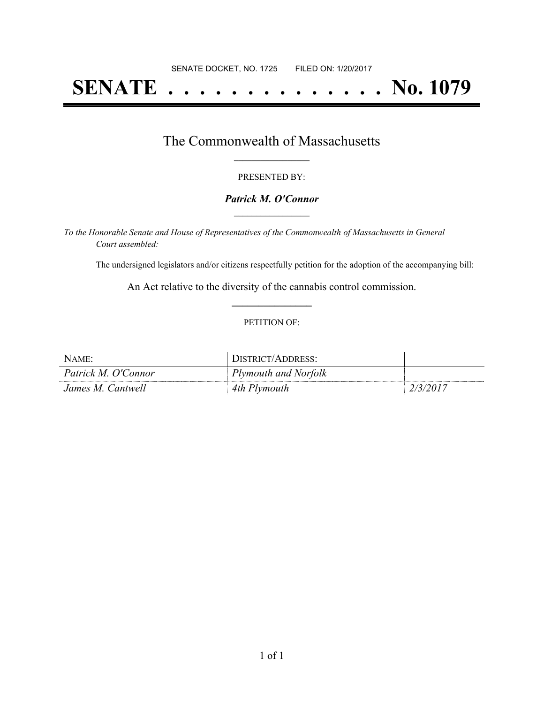# **SENATE . . . . . . . . . . . . . . No. 1079**

### The Commonwealth of Massachusetts **\_\_\_\_\_\_\_\_\_\_\_\_\_\_\_\_\_**

#### PRESENTED BY:

#### *Patrick M. O'Connor* **\_\_\_\_\_\_\_\_\_\_\_\_\_\_\_\_\_**

*To the Honorable Senate and House of Representatives of the Commonwealth of Massachusetts in General Court assembled:*

The undersigned legislators and/or citizens respectfully petition for the adoption of the accompanying bill:

An Act relative to the diversity of the cannabis control commission. **\_\_\_\_\_\_\_\_\_\_\_\_\_\_\_**

#### PETITION OF:

| Name:               | JISTRICT/ADDRESS:           |     |
|---------------------|-----------------------------|-----|
| Patrick M. O'Connor | <b>Plymouth and Norfolk</b> |     |
| James M. Cantwell   | 4th Plymouth                | 201 |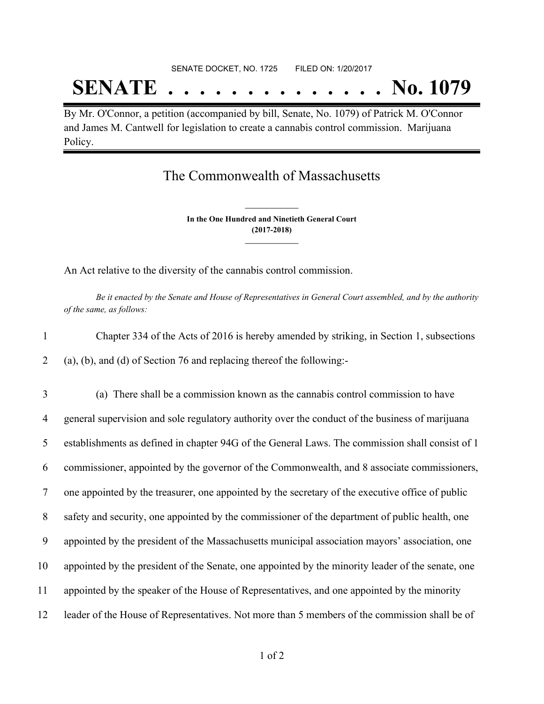# SENATE DOCKET, NO. 1725 FILED ON: 1/20/2017 **SENATE . . . . . . . . . . . . . . No. 1079**

By Mr. O'Connor, a petition (accompanied by bill, Senate, No. 1079) of Patrick M. O'Connor and James M. Cantwell for legislation to create a cannabis control commission. Marijuana Policy.

## The Commonwealth of Massachusetts

**In the One Hundred and Ninetieth General Court (2017-2018) \_\_\_\_\_\_\_\_\_\_\_\_\_\_\_**

**\_\_\_\_\_\_\_\_\_\_\_\_\_\_\_**

An Act relative to the diversity of the cannabis control commission.

Be it enacted by the Senate and House of Representatives in General Court assembled, and by the authority *of the same, as follows:*

| Chapter 334 of the Acts of 2016 is hereby amended by striking, in Section 1, subsections |
|------------------------------------------------------------------------------------------|
| $(a)$ , (b), and (d) of Section 76 and replacing thereof the following:-                 |

 (a) There shall be a commission known as the cannabis control commission to have general supervision and sole regulatory authority over the conduct of the business of marijuana establishments as defined in chapter 94G of the General Laws. The commission shall consist of 1 commissioner, appointed by the governor of the Commonwealth, and 8 associate commissioners, one appointed by the treasurer, one appointed by the secretary of the executive office of public safety and security, one appointed by the commissioner of the department of public health, one appointed by the president of the Massachusetts municipal association mayors' association, one appointed by the president of the Senate, one appointed by the minority leader of the senate, one appointed by the speaker of the House of Representatives, and one appointed by the minority leader of the House of Representatives. Not more than 5 members of the commission shall be of